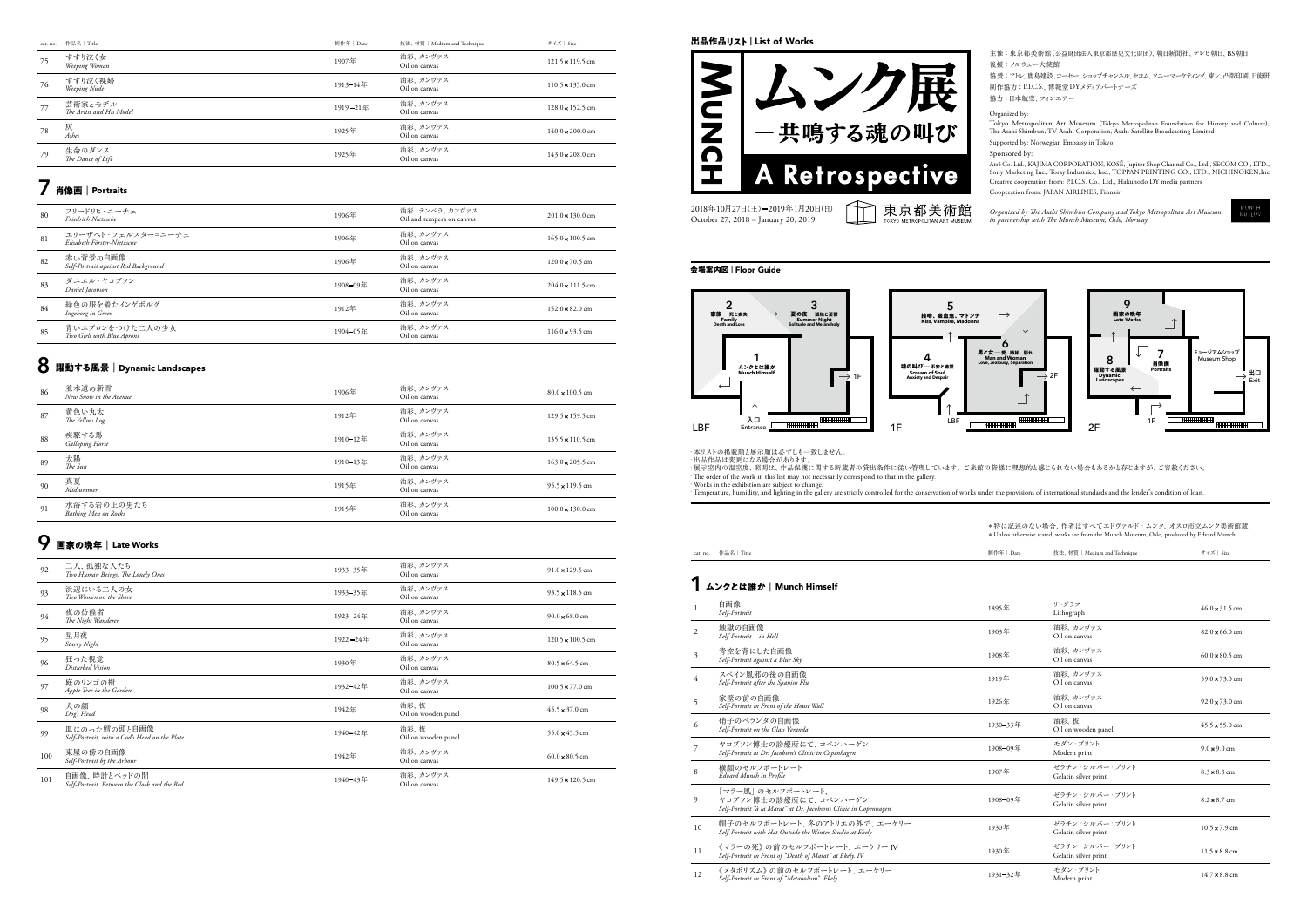

#### **会場案内図** Guide Floor**<sup>|</sup>**



・本リストの掲載順と展示順は必ずしも一致しません。<br>・出品作品は変更になる場合があります。

∙ The order of the work in this list may not necessarily correspond to that in the gallery.<br>• Works in the exhibition are subject to change.<br>• Temperature, humidity, and lighting in the gallery are strictly controlled for

#### cat. no. 作品名 | Title

## <u>1 ムンクとは誰か | Munch Himself</u>

| 制作年   Date | 技法、 材質   Medium and Technique | サイズ   Size |
|------------|-------------------------------|------------|
|            |                               |            |

|                | 白画像<br>Self-Portrait                                                                                            | 1895年    | リトグラフ<br>Lithograph                    | $46.0 \times 31.5$ cm         |
|----------------|-----------------------------------------------------------------------------------------------------------------|----------|----------------------------------------|-------------------------------|
| $\overline{c}$ | 地獄の自画像<br>Self-Portrait-in Hell                                                                                 | 1903年    | 油彩、カンヴァス<br>Oil on canvas              | $82.0 \times 66.0$ cm         |
| $\overline{3}$ | 青空を背にした自画像<br>Self-Portrait against a Blue Sky                                                                  | 1908年    | 油彩、カンヴァス<br>Oil on canvas              | $60.0 \times 80.5$ cm         |
| $\overline{4}$ | スペイン風邪の後の自画像<br>Self-Portrait after the Spanish Flu                                                             | 1919年    | 油彩、カンヴァス<br>Oil on canvas              | 59.0 $\times$ 73.0 cm         |
| 5              | 家壁の前の白画像<br>Self-Portrait in Front of the House Wall                                                            | 1926年    | 油彩、カンヴァス<br>Oil on canvas              | $92.0 \times 73.0 \text{ cm}$ |
| 6              | 硝子のベランダの自画像<br>Self-Portrait on the Glass Veranda                                                               | 1930-33年 | 油彩. 板<br>Oil on wooden panel           | $45.5 \times 55.0 \text{ cm}$ |
|                | ヤコブソン博士の診療所にて、コペンハーゲン<br>Self-Portrait at Dr. Jacobson's Clinic in Copenhagen                                   | 1908-09年 | モダン・プリント<br>Modern print               | $9.0 \times 9.0$ cm           |
| 8              | 構顔のセルフポートレート<br>Edvard Munch in Profile                                                                         | 1907年    | ゼラチン・シルバー・プリント<br>Gelatin silver print | $8.3 \times 8.3$ cm           |
| 9              | 「マラー風」のセルフポートレート.<br>ヤコブソン博士の診療所にて、コペンハーゲン<br>Self-Portrait "à la Marat" at Dr. Jacobson's Clinic in Copenhagen | 1908-09年 | ゼラチン・シルバー・プリント<br>Gelatin silver print | $8.2 \times 8.7$ cm           |
| 10             | 帽子のセルフポートレート、冬のアトリエの外で、エーケリー<br>Self-Portrait with Hat Outside the Winter Studio at Ekely                       | 1930年    | ゼラチン・シルバー・プリント<br>Gelatin silver print | $10.5 \times 7.9 \text{ cm}$  |
| 11             | 《マラーの死》の前のセルフポートレート. エーケリー IV<br>Self-Portrait in Front of "Death of Marat" at Ekely. IV                        | 1930年    | ゼラチン・シルバー・プリント<br>Gelatin silver print | $11.5 \times 8.8$ cm          |
| 12             | 《メタボリズム》の前のセルフポートレート、エーケリー<br>Self-Portrait in Front of "Metabolism". Ekely                                     | 1931-32年 | モダン・プリント<br>Modern print               | $14.7 \times 8.8$ cm          |
|                |                                                                                                                 |          |                                        |                               |

- 主催: 東京都美術館(公益財団法人東京都歴史文化財団)、朝日新聞社、テレビ朝日、BS朝日 後援: ノルウェー大使館
- 協賛: アトレ、鹿島建設、コーセー、ショップチャンネル、セコム、ソニーマーケティング、東レ、凸版印刷、日能研 制作協力: P.I.C.S.、博報堂 DYメディアパートナーズ
- 協力:日本航空、フィンエアー

#### Organized by:

Tokyo Metropolitan Art Museum (Tokyo Metropolitan Foundation for History and Culture),<br>The Asahi Shimbun, TV Asahi Corporation, Asahi Satellite Broadcasting Limited Supported by: Norwegian Embassy in Tokyo

#### Sponsored by:

- .,<br>Atré Co. Ltd., KAJIMA CORPORATION, KOSÉ, Jupiter Shop Channel Co., Ltd., SECOM CO., LTD., Sony Marketing Inc., Toray Industries, Inc., TOPPAN PRINTING CO., LTD., NICHINOKEN, Inc Creative cooperation from: P.I.C.S. Co., Ltd., Hakuhodo DY media partners
- Finnal Trume JAPAN AIRLINES, Finnair
- Organized by The Asahi Shimbun Company and Tokyo Metropolitan Art Museum,<br>in partnership with The Munch Museum, Oslo, Norway.

・展示室内の温室度、照明は、作品保護に関する所蔵者の貸出条件に従い管理しています。 ご来館の皆様に理想的と感じられない場合もあるかと存じますが、ご容赦ください。

\*特に記述のない場合、作者はすべてエドヴァルド・ムンク、オスロ市立ムンク美術館蔵  $*$  Unless otherwise stated, works are from the Munch Museum, Oslo, produced by Edvard Munch.

| cat. no. | 作品名 Title                           | 制作年   Date | 技法、 材質   Medium and Technique | サイズ   Size                      |
|----------|-------------------------------------|------------|-------------------------------|---------------------------------|
| 75       | すすり泣く女<br>Weeping Woman             | 1907年      | 油彩、カンヴァス<br>Oil on canvas     | $121.5 \times 119.5$ cm         |
| 76       | すすり泣く裸婦<br>Weeping Nude             | 1913-14年   | 油彩、カンヴァス<br>Oil on canvas     | $110.5 \times 135.0 \text{ cm}$ |
| 77       | 芸術家とモデル<br>The Artist and His Model | 1919-21年   | 油彩、カンヴァス<br>Oil on canvas     | $128.0 \times 152.5$ cm         |
| 78       | 灰<br>Ashes                          | 1925年      | 油彩、カンヴァス<br>Oil on canvas     | $140.0 \times 200.0 \text{ cm}$ |
| 79       | 生命のダンス<br>The Dance of Life         | 1925年      | 油彩、カンヴァス<br>Oil on canvas     | $143.0 \times 208.0$ cm         |

## **肖像画 7 Portraits**|

| 80 | フリードリヒ・ニーチェ<br>Friedrich Nietzsche                | 1906年    | 油彩・テンペラ、カンヴァス<br>Oil and tempera on canvas | $201.0 \times 130.0 \text{ cm}$ |
|----|---------------------------------------------------|----------|--------------------------------------------|---------------------------------|
| 81 | エリーザベト・フェルスターニニーチェ<br>Elisabeth Förster-Nietzsche | 1906年    | 油彩、カンヴァス<br>Oil on canvas                  | $165.0 \times 100.5$ cm         |
| 82 | 赤い背景の自画像<br>Self-Portrait against Red Background  | 1906年    | 油彩、カンヴァス<br>Oil on canvas                  | $120.0 \times 70.5$ cm          |
| 83 | ダニエル・ヤコブソン<br>Daniel Jacobson                     | 1908-09年 | 油彩、カンヴァス<br>Oil on canvas                  | $204.0 \times 111.5 \text{ cm}$ |
| 84 | 緑色の服を着たインゲボルグ<br>Ingeborg in Green                | 1912年    | 油彩、カンヴァス<br>Oil on canvas                  | $152.0 \times 82.0$ cm          |
| 85 | 青いエプロンをつけた二人の少女<br>Two Girls with Blue Aprons     | 1904-05年 | 油彩、カンヴァス<br>Oil on canvas                  | $116.0 \times 93.5$ cm          |

## **8** 躍動する風景|Dynamic Landscapes

| 86 | 並木道の新雪<br>New Snow in the Avenue    | 1906年    | 油彩、カンヴァス<br>Oil on canvas | $80.0 \times 100.5$ cm          |
|----|-------------------------------------|----------|---------------------------|---------------------------------|
| 87 | 黄色い丸太<br>The Yellow Log             | 1912年    | 油彩、カンヴァス<br>Oil on canvas | $129.5 \times 159.5$ cm         |
| 88 | 疾駆する馬<br><b>Galloping Horse</b>     | 1910-12年 | 油彩、カンヴァス<br>Oil on canvas | $135.5 \times 110.5$ cm         |
| 89 | 太陽<br>The Sun                       | 1910-13年 | 油彩、カンヴァス<br>Oil on canvas | $163.0 \times 205.5$ cm         |
| 90 | 真夏<br>Midsummer                     | 1915年    | 油彩、カンヴァス<br>Oil on canvas | $95.5 \times 119.5$ cm          |
| 91 | 水浴する岩の上の男たち<br>Bathing Men on Rocks | 1915年    | 油彩、カンヴァス<br>Oil on canvas | $100.0 \times 130.0 \text{ cm}$ |

# $\mathbf{Q}$  画家の晩年|Late Works

| 92  | 二人、孤独な人たち<br>Two Human Beings. The Lonely Ones                | 1933-35年      | 油彩、カンヴァス<br>Oil on canvas   | $91.0 \times 129.5$ cm         |
|-----|---------------------------------------------------------------|---------------|-----------------------------|--------------------------------|
| 93  | 浜辺にいる二人の女<br>Two Women on the Shore                           | 1933-35年      | 油彩、カンヴァス<br>Oil on canvas   | $93.5 \times 118.5$ cm         |
| 94  | 夜の彷徨者<br>The Night Wanderer                                   | 1923-24年      | 油彩、カンヴァス<br>Oil on canvas   | $90.0 \times 68.0$ cm          |
| 95  | 星月夜<br>Starry Night                                           | $1922 - 24$ 年 | 油彩、カンヴァス<br>Oil on canvas   | $120.5 \times 100.5$ cm        |
| 96  | 狂った視覚<br>Disturbed Vision                                     | 1930年         | 油彩、カンヴァス<br>Oil on canvas   | $80.5 \times 64.5$ cm          |
| 97  | 庭のリンゴの樹<br>Apple Tree in the Garden                           | 1932-42年      | 油彩、カンヴァス<br>Oil on canvas   | $100.5 \times 77.0 \text{ cm}$ |
| 98  | 犬の顔<br>Dog's Head                                             | 1942年         | 油彩、板<br>Oil on wooden panel | $45.5 \times 37.0$ cm          |
| 99  | 皿にのった鱈の頭と自画像<br>Self-Portrait, with a Cod's Head on the Plate | 1940-42年      | 油彩、板<br>Oil on wooden panel | 55.0 $\times$ 45.5 cm          |
| 100 | 東屋の傍の自画像<br>Self-Portrait by the Arbour                       | 1942年         | 油彩、カンヴァス<br>Oil on canvas   | $60.0 \times 80.5$ cm          |
| 101 | 自画像、時計とベッドの間<br>Self-Portrait. Between the Clock and the Bed  | 1940-43年      | 油彩、カンヴァス<br>Oil on canvas   | 149.5 × 120.5 cm               |

### 出品作品リスト | List of Works